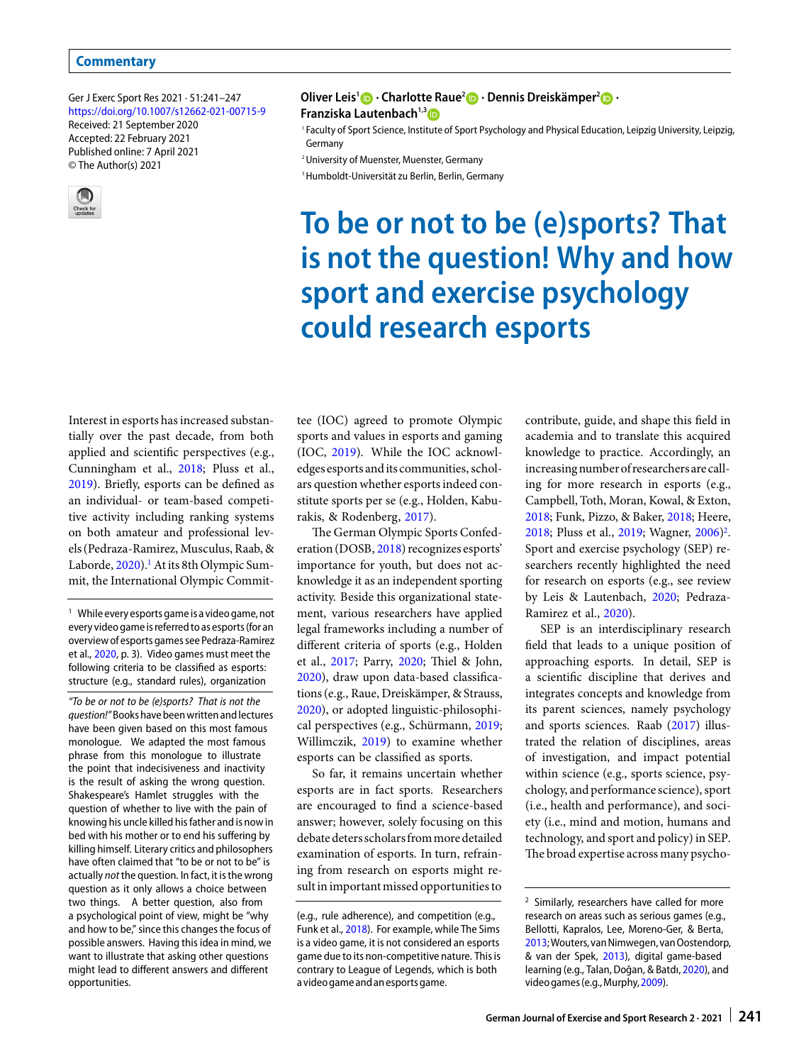© The Author(s) 2021

Ger J Exerc Sport Res 2021 · 51:241–247 <https://doi.org/10.1007/s12662-021-00715-9> Received: 21 September 2020 Accepted: 22 February 2021 Published online: 7 April 2021



**Oliver Leis1 · Charlotte Raue2 · Dennis Dreiskämper2 · Franziska Lautenbach<sup>1,3</sup><sup>1</sup>** 

1 Faculty of Sport Science, Institute of Sport Psychology and Physical Education, Leipzig University, Leipzig, Germany

2 University of Muenster, Muenster, Germany

3 Humboldt-Universität zu Berlin, Berlin, Germany

# **To be or not to be (e)sports? That is not the question! Why and how sport and exercise psychology could research esports**

Interest in esports has increased substantially over the past decade, from both applied and scientific perspectives (e.g., Cunningham et al., [2018;](#page-5-0) Pluss et al., [2019\)](#page-5-1). Briefly, esports can be defined as an individual- or team-based competitive activity including ranking systems on both amateur and professional levels (Pedraza-Ramirez, Musculus, Raab, & Laborde, [2020\)](#page-5-2).<sup>1</sup> At its 8th Olympic Summit, the International Olympic Commit-

<span id="page-0-0"></span><sup>1</sup> While every esports game is a video game, not every video game is referred to as esports(for an overview of esports games see Pedraza-Ramirez et al., [2020,](#page-5-2) p. 3). Video games must meet the following criteria to be classified as esports: structure (e.g., standard rules), organization

"To be or not to be (e)sports? That is not the question!"Books have beenwritten and lectures have been given based on this most famous monologue. We adapted the most famous phrase from this monologue to illustrate the point that indecisiveness and inactivity is the result of asking the wrong question. Shakespeare's Hamlet struggles with the question of whether to live with the pain of knowing his uncle killed his father and is now in bed with his mother or to end his suffering by killing himself. Literary critics and philosophers have often claimed that "to be or not to be" is actually not the question. In fact, it is the wrong question as it only allows a choice between two things. A better question, also from a psychological point of view, might be "why and how to be," since this changes the focus of possible answers. Having this idea in mind, we want to illustrate that asking other questions might lead to different answers and different opportunities.

tee (IOC) agreed to promote Olympic sports and values in esports and gaming (IOC, [2019\)](#page-5-3). While the IOC acknowledges esports andits communities, scholars question whether esports indeed constitute sports per se (e.g., Holden, Kaburakis, & Rodenberg, [2017\)](#page-5-4).

The German Olympic Sports Confederation (DOSB, [2018\)](#page-5-5) recognizes esports' importance for youth, but does not acknowledge it as an independent sporting activity. Beside this organizational statement, various researchers have applied legal frameworks including a number of different criteria of sports (e.g., Holden et al., [2017;](#page-5-4) Parry, [2020;](#page-5-6) Tiel & John, [2020\)](#page-6-0), draw upon data-based classifications (e.g., Raue, Dreiskämper, & Strauss, [2020\)](#page-5-7), or adopted linguistic-philosophical perspectives (e.g., Schürmann, [2019;](#page-5-8) Willimczik, [2019\)](#page-6-1) to examine whether esports can be classified as sports.

So far, it remains uncertain whether esports are in fact sports. Researchers are encouraged to find a science-based answer; however, solely focusing on this debate deters scholarsfrommore detailed examination of esports. In turn, refraining from research on esports might result in important missed opportunities to contribute, guide, and shape this field in academia and to translate this acquired knowledge to practice. Accordingly, an increasing number of researchers are calling for more research in esports (e.g., Campbell, Toth, Moran, Kowal, & Exton, [2018;](#page-5-10) Funk, Pizzo, & Baker, [2018;](#page-5-9) Heere, [2018;](#page-5-11) Pluss et al., [2019;](#page-5-1) Wagner, [2006\)](#page-6-2)<sup>2</sup>. Sport and exercise psychology (SEP) researchers recently highlighted the need for research on esports (e.g., see review by Leis & Lautenbach, [2020;](#page-5-12) Pedraza-Ramirez et al., [2020\)](#page-5-2).

SEP is an interdisciplinary research field that leads to a unique position of approaching esports. In detail, SEP is a scientific discipline that derives and integrates concepts and knowledge from its parent sciences, namely psychology and sports sciences. Raab [\(2017\)](#page-5-13) illustrated the relation of disciplines, areas of investigation, and impact potential within science (e.g., sports science, psychology, and performance science), sport (i.e., health and performance), and society (i.e., mind and motion, humans and technology, and sport and policy) in SEP. The broad expertise across many psycho-

<sup>(</sup>e.g., rule adherence), and competition (e.g., Funk et al., [2018\)](#page-5-9). For example, while The Sims is a video game, it is not considered an esports game due to its non-competitive nature. This is contrary to League of Legends, which is both a video game andanesports game.

<span id="page-0-1"></span><sup>&</sup>lt;sup>2</sup> Similarly, researchers have called for more research on areas such as serious games (e.g., Bellotti, Kapralos, Lee, Moreno-Ger, & Berta, [2013;](#page-5-14) Wouters, van Nimwegen, van Oostendorp, & van der Spek, [2013\)](#page-6-3), digital game-based learning (e.g., Talan, Doğan, & Batdı, [2020\)](#page-6-4), and video games (e.g., Murphy, 2009).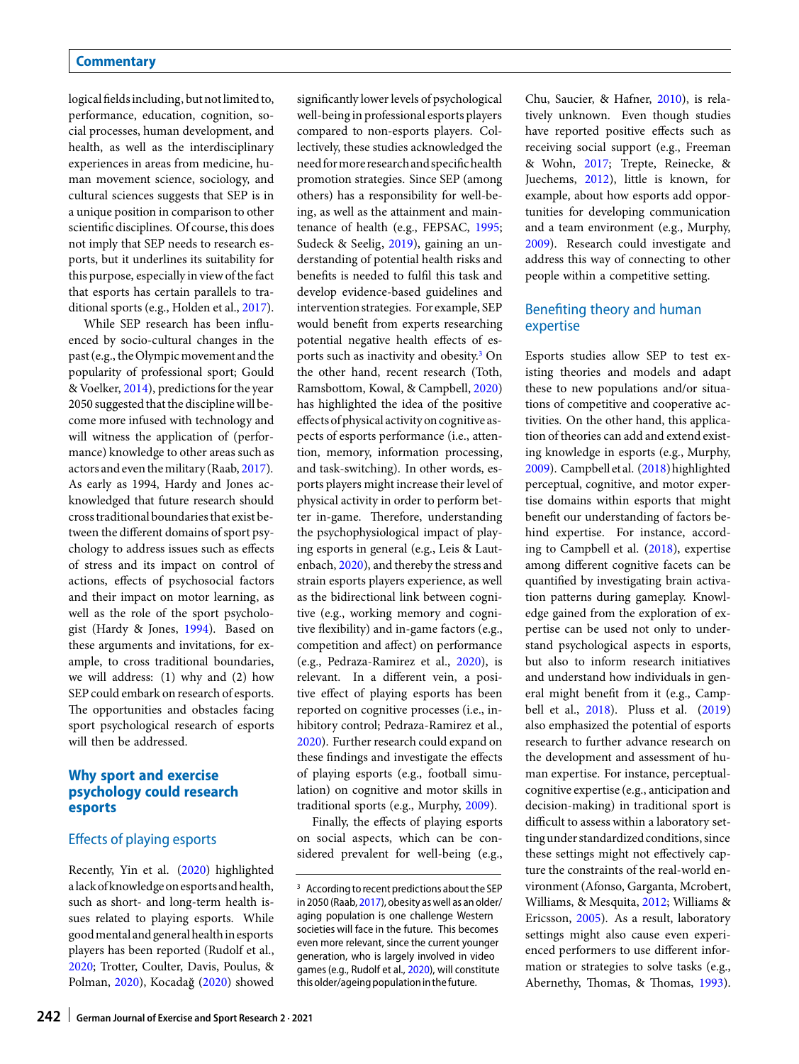logical fieldsincluding, but notlimited to, performance, education, cognition, social processes, human development, and health, as well as the interdisciplinary experiences in areas from medicine, human movement science, sociology, and cultural sciences suggests that SEP is in a unique position in comparison to other scientific disciplines. Of course, this does not imply that SEP needs to research esports, but it underlines its suitability for this purpose, especially in view of the fact that esports has certain parallels to traditional sports (e.g., Holden et al., [2017\)](#page-5-4).

While SEP research has been influenced by socio-cultural changes in the past (e.g., the Olympic movement and the popularity of professional sport; Gould & Voelker, [2014\)](#page-5-16), predictions for the year 2050 suggested that the discipline will become more infused with technology and will witness the application of (performance) knowledge to other areas such as actors and even themilitary (Raab, [2017\)](#page-5-13). As early as 1994, Hardy and Jones acknowledged that future research should cross traditional boundaries that exist between the different domains of sport psychology to address issues such as effects of stress and its impact on control of actions, effects of psychosocial factors and their impact on motor learning, as well as the role of the sport psychologist (Hardy & Jones, [1994\)](#page-5-17). Based on these arguments and invitations, for example, to cross traditional boundaries, we will address: (1) why and (2) how SEP could embark on research of esports. The opportunities and obstacles facing sport psychological research of esports will then be addressed.

#### **Why sport and exercise psychology could research esports**

#### Effects of playing esports

Recently, Yin et al. [\(2020\)](#page-6-5) highlighted alack ofknowledge on esports and health, such as short- and long-term health issues related to playing esports. While goodmental andgeneral healthin esports players has been reported (Rudolf et al., [2020;](#page-5-18) Trotter, Coulter, Davis, Poulus, & Polman, [2020\)](#page-6-6), Kocadağ [\(2020\)](#page-5-19) showed significantly lower levels of psychological well-being in professional esports players compared to non-esports players. Collectively, these studies acknowledged the needformore researchand specific health promotion strategies. Since SEP (among others) has a responsibility for well-being, as well as the attainment and maintenance of health (e.g., FEPSAC, [1995;](#page-5-20) Sudeck & Seelig, [2019\)](#page-6-7), gaining an understanding of potential health risks and benefits is needed to fulfil this task and develop evidence-based guidelines and intervention strategies. For example, SEP would benefit from experts researching potential negative health effects of esports such as inactivity and obesit[y.3](#page-1-0) On the other hand, recent research (Toth, Ramsbottom, Kowal, & Campbell, [2020\)](#page-6-8) has highlighted the idea of the positive effects of physical activity on cognitive aspects of esports performance (i.e., attention, memory, information processing, and task-switching). In other words, esports players might increase their level of physical activity in order to perform better in-game. Therefore, understanding the psychophysiological impact of playing esports in general (e.g., Leis & Lautenbach, [2020\)](#page-5-12), and thereby the stress and strain esports players experience, as well as the bidirectional link between cognitive (e.g., working memory and cognitive flexibility) and in-game factors (e.g., competition and affect) on performance (e.g., Pedraza-Ramirez et al., [2020\)](#page-5-2), is relevant. In a different vein, a positive effect of playing esports has been reported on cognitive processes (i.e., inhibitory control; Pedraza-Ramirez et al., [2020\)](#page-5-2). Further research could expand on these findings and investigate the effects of playing esports (e.g., football simulation) on cognitive and motor skills in traditional sports (e.g., Murphy, [2009\)](#page-5-15).

Finally, the effects of playing esports on social aspects, which can be considered prevalent for well-being (e.g., Chu, Saucier, & Hafner, [2010\)](#page-5-21), is relatively unknown. Even though studies have reported positive effects such as receiving social support (e.g., Freeman & Wohn, [2017;](#page-5-22) Trepte, Reinecke, & Juechems, [2012\)](#page-6-9), little is known, for example, about how esports add opportunities for developing communication and a team environment (e.g., Murphy, [2009\)](#page-5-15). Research could investigate and address this way of connecting to other people within a competitive setting.

#### Benefiting theory and human expertise

Esports studies allow SEP to test existing theories and models and adapt these to new populations and/or situations of competitive and cooperative activities. On the other hand, this application of theories can add and extend existing knowledge in esports (e.g., Murphy, [2009\)](#page-5-15). Campbell et al. [\(2018\)](#page-5-10) highlighted perceptual, cognitive, and motor expertise domains within esports that might benefit our understanding of factors behind expertise. For instance, according to Campbell et al. [\(2018\)](#page-5-10), expertise among different cognitive facets can be quantified by investigating brain activation patterns during gameplay. Knowledge gained from the exploration of expertise can be used not only to understand psychological aspects in esports, but also to inform research initiatives and understand how individuals in general might benefit from it (e.g., Campbell et al., [2018\)](#page-5-10). Pluss et al. [\(2019\)](#page-5-1) also emphasized the potential of esports research to further advance research on the development and assessment of human expertise. For instance, perceptualcognitive expertise (e.g., anticipation and decision-making) in traditional sport is difficult to assess within a laboratory setting under standardized conditions, since these settings might not effectively capture the constraints of the real-world environment (Afonso, Garganta, Mcrobert, Williams, & Mesquita, [2012;](#page-5-23) Williams & Ericsson, [2005\)](#page-6-10). As a result, laboratory settings might also cause even experienced performers to use different information or strategies to solve tasks (e.g., Abernethy, Thomas, & Thomas, [1993\)](#page-5-24).

<span id="page-1-0"></span><sup>&</sup>lt;sup>3</sup> According to recent predictions about the SEP in 2050 (Raab, [2017\)](#page-5-13), obesity as well as an older/ aging population is one challenge Western societies will face in the future. This becomes even more relevant, since the current younger generation, who is largely involved in video games (e.g., Rudolf et al., [2020\)](#page-5-18), will constitute this older/ageing population in the future.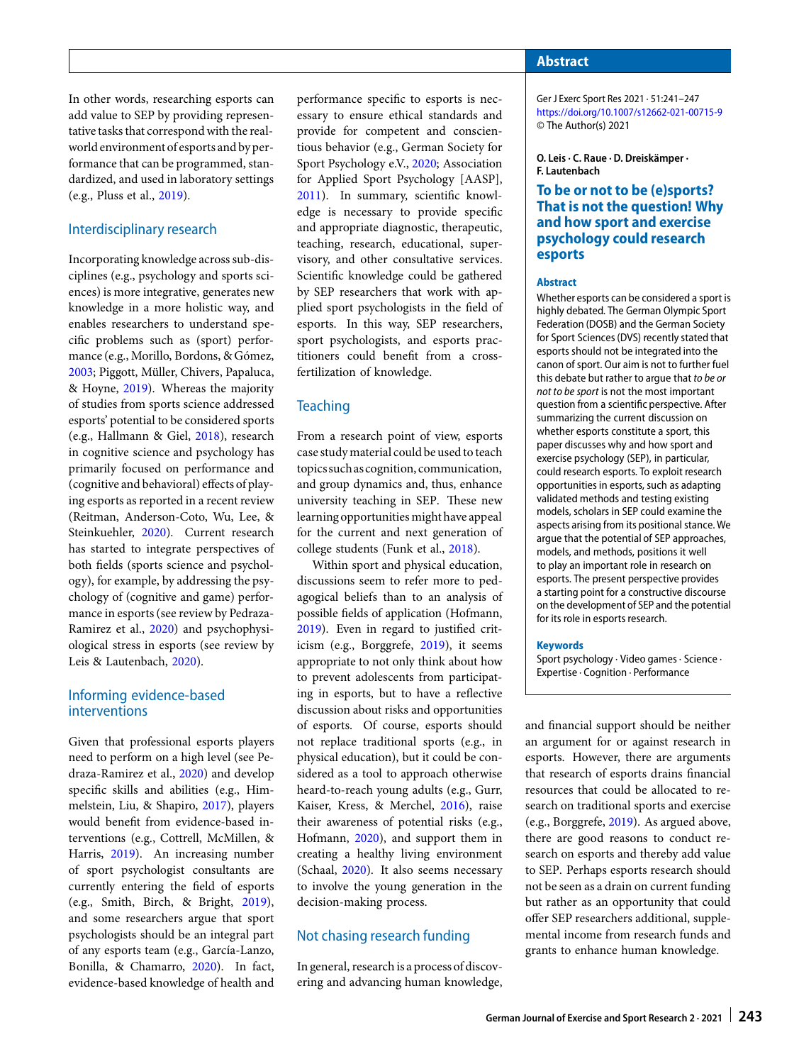In other words, researching esports can add value to SEP by providing representative tasks that correspond with the realworld environment of esports and by performance that can be programmed, standardized, and used in laboratory settings (e.g., Pluss et al., [2019\)](#page-5-1).

#### Interdisciplinary research

Incorporating knowledge across sub-disciplines (e.g., psychology and sports sciences) is more integrative, generates new knowledge in a more holistic way, and enables researchers to understand specific problems such as (sport) performance (e.g., Morillo, Bordons, & Gómez, [2003;](#page-5-25) Piggott, Müller, Chivers, Papaluca, & Hoyne, [2019\)](#page-5-26). Whereas the majority of studies from sports science addressed esports' potential to be considered sports (e.g., Hallmann & Giel, [2018\)](#page-5-27), research in cognitive science and psychology has primarily focused on performance and (cognitive and behavioral) effects of playing esports as reported in a recent review (Reitman, Anderson-Coto, Wu, Lee, & Steinkuehler, [2020\)](#page-5-28). Current research has started to integrate perspectives of both fields (sports science and psychology), for example, by addressing the psychology of (cognitive and game) performance in esports (see review by Pedraza-Ramirez et al., [2020\)](#page-5-2) and psychophysiological stress in esports (see review by Leis & Lautenbach, [2020\)](#page-5-12).

#### Informing evidence-based interventions

Given that professional esports players need to perform on a high level (see Pedraza-Ramirez et al., [2020\)](#page-5-2) and develop specific skills and abilities (e.g., Himmelstein, Liu, & Shapiro, [2017\)](#page-5-29), players would benefit from evidence-based interventions (e.g., Cottrell, McMillen, & Harris, [2019\)](#page-5-30). An increasing number of sport psychologist consultants are currently entering the field of esports (e.g., Smith, Birch, & Bright, [2019\)](#page-5-31), and some researchers argue that sport psychologists should be an integral part of any esports team (e.g., García-Lanzo, Bonilla, & Chamarro, [2020\)](#page-5-32). In fact, evidence-based knowledge of health and

performance specific to esports is necessary to ensure ethical standards and provide for competent and conscientious behavior (e.g., German Society for Sport Psychology e.V., [2020;](#page-5-33) Association for Applied Sport Psychology [AASP], [2011\)](#page-5-34). In summary, scientific knowledge is necessary to provide specific and appropriate diagnostic, therapeutic, teaching, research, educational, supervisory, and other consultative services. Scientific knowledge could be gathered by SEP researchers that work with applied sport psychologists in the field of esports. In this way, SEP researchers, sport psychologists, and esports practitioners could benefit from a crossfertilization of knowledge.

#### **Teaching**

From a research point of view, esports case studymaterial could be used to teach topics suchascognition, communication, and group dynamics and, thus, enhance university teaching in SEP. These new learning opportunities might have appeal for the current and next generation of college students (Funk et al., [2018\)](#page-5-9).

Within sport and physical education, discussions seem to refer more to pedagogical beliefs than to an analysis of possible fields of application (Hofmann, [2019\)](#page-5-35). Even in regard to justified criticism (e.g., Borggrefe, [2019\)](#page-5-36), it seems appropriate to not only think about how to prevent adolescents from participating in esports, but to have a reflective discussion about risks and opportunities of esports. Of course, esports should not replace traditional sports (e.g., in physical education), but it could be considered as a tool to approach otherwise heard-to-reach young adults (e.g., Gurr, Kaiser, Kress, & Merchel, [2016\)](#page-5-37), raise their awareness of potential risks (e.g., Hofmann, [2020\)](#page-5-38), and support them in creating a healthy living environment (Schaal, [2020\)](#page-5-39). It also seems necessary to involve the young generation in the decision-making process.

#### Not chasing research funding

In general, research is a process of discovering and advancing human knowledge,

#### **Abstract**

Ger J Exerc Sport Res 2021 · 51:241–247 <https://doi.org/10.1007/s12662-021-00715-9> © The Author(s) 2021

**O. Leis · C. Raue · D. Dreiskämper · F. Lautenbach**

#### **To be or not to be (e)sports? That is not the question! Why and how sport and exercise psychology could research esports**

#### **Abstract**

Whether esports can be considered a sport is highly debated. The German Olympic Sport Federation (DOSB) and the German Society for Sport Sciences (DVS) recently stated that esports should not be integrated into the canon of sport. Our aim is not to further fuel this debate but rather to argue that to be or not to be sport is not the most important question from a scientific perspective. After summarizing the current discussion on whether esports constitute a sport, this paper discusses why and how sport and exercise psychology (SEP), in particular, could research esports. To exploit research opportunities in esports, such as adapting validated methods and testing existing models, scholars in SEP could examine the aspects arising from its positional stance. We argue that the potential of SEP approaches, models, and methods, positions it well to play an important role in research on esports. The present perspective provides a starting point for a constructive discourse on the development of SEP and the potential for its role in esports research.

#### **Keywords**

Sport psychology · Video games · Science · Expertise · Cognition · Performance

| and financial support should be neither   |
|-------------------------------------------|
| an argument for or against research in    |
| esports. However, there are arguments     |
| that research of esports drains financial |
| resources that could be allocated to re-  |
| search on traditional sports and exercise |
| (e.g., Borggrefe, 2019). As argued above, |
| there are good reasons to conduct re-     |
| search on esports and thereby add value   |
| to SEP. Perhaps esports research should   |
| not be seen as a drain on current funding |
| but rather as an opportunity that could   |
| offer SEP researchers additional, supple- |
| mental income from research funds and     |
| grants to enhance human knowledge.        |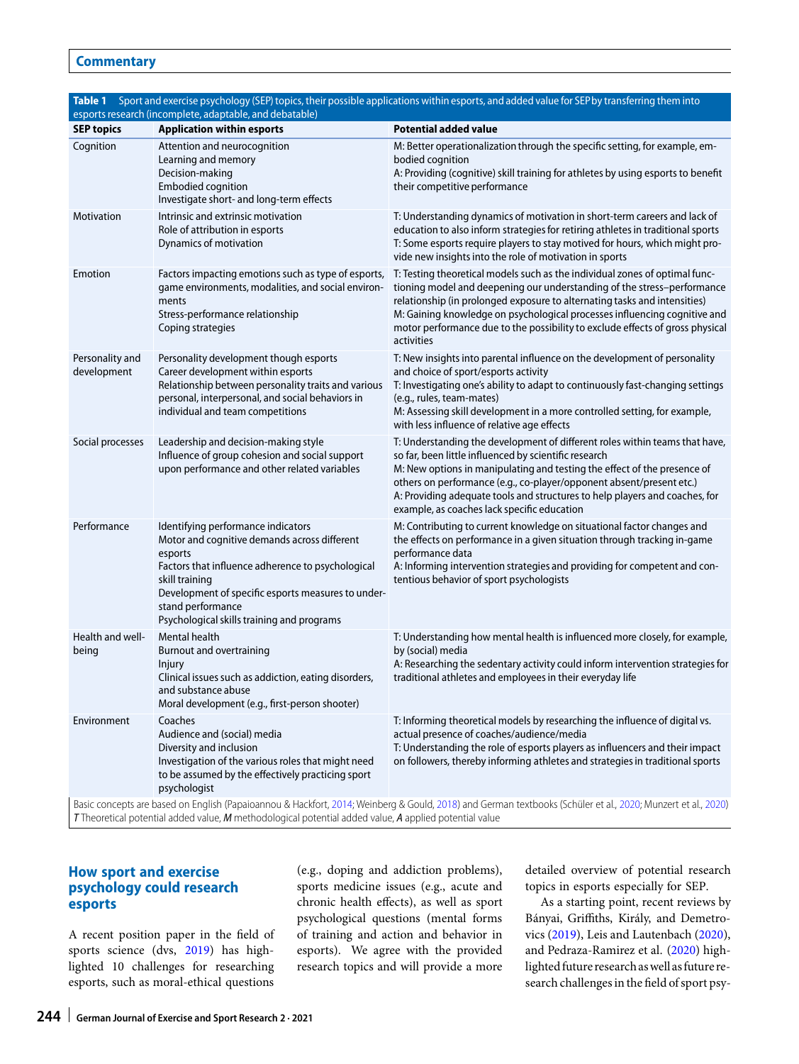<span id="page-3-0"></span>

| esports research (incomplete, adaptable, and debatable)                                                                                                                                                                                                                |                                                                                                                                                                                                                                                                                               |                                                                                                                                                                                                                                                                                                                                                                                                                        |  |
|------------------------------------------------------------------------------------------------------------------------------------------------------------------------------------------------------------------------------------------------------------------------|-----------------------------------------------------------------------------------------------------------------------------------------------------------------------------------------------------------------------------------------------------------------------------------------------|------------------------------------------------------------------------------------------------------------------------------------------------------------------------------------------------------------------------------------------------------------------------------------------------------------------------------------------------------------------------------------------------------------------------|--|
| <b>SEP topics</b>                                                                                                                                                                                                                                                      | <b>Application within esports</b>                                                                                                                                                                                                                                                             | <b>Potential added value</b>                                                                                                                                                                                                                                                                                                                                                                                           |  |
| Cognition                                                                                                                                                                                                                                                              | Attention and neurocognition<br>Learning and memory<br>Decision-making<br><b>Embodied cognition</b><br>Investigate short- and long-term effects                                                                                                                                               | M: Better operationalization through the specific setting, for example, em-<br>bodied cognition<br>A: Providing (cognitive) skill training for athletes by using esports to benefit<br>their competitive performance                                                                                                                                                                                                   |  |
| Motivation                                                                                                                                                                                                                                                             | Intrinsic and extrinsic motivation<br>Role of attribution in esports<br>Dynamics of motivation                                                                                                                                                                                                | T: Understanding dynamics of motivation in short-term careers and lack of<br>education to also inform strategies for retiring athletes in traditional sports<br>T: Some esports require players to stay motived for hours, which might pro-<br>vide new insights into the role of motivation in sports                                                                                                                 |  |
| Emotion                                                                                                                                                                                                                                                                | Factors impacting emotions such as type of esports,<br>game environments, modalities, and social environ-<br>ments<br>Stress-performance relationship<br>Coping strategies                                                                                                                    | T: Testing theoretical models such as the individual zones of optimal func-<br>tioning model and deepening our understanding of the stress-performance<br>relationship (in prolonged exposure to alternating tasks and intensities)<br>M: Gaining knowledge on psychological processes influencing cognitive and<br>motor performance due to the possibility to exclude effects of gross physical<br>activities        |  |
| Personality and<br>development                                                                                                                                                                                                                                         | Personality development though esports<br>Career development within esports<br>Relationship between personality traits and various<br>personal, interpersonal, and social behaviors in<br>individual and team competitions                                                                    | T: New insights into parental influence on the development of personality<br>and choice of sport/esports activity<br>T: Investigating one's ability to adapt to continuously fast-changing settings<br>(e.g., rules, team-mates)<br>M: Assessing skill development in a more controlled setting, for example,<br>with less influence of relative age effects                                                           |  |
| Social processes                                                                                                                                                                                                                                                       | Leadership and decision-making style<br>Influence of group cohesion and social support<br>upon performance and other related variables                                                                                                                                                        | T: Understanding the development of different roles within teams that have,<br>so far, been little influenced by scientific research<br>M: New options in manipulating and testing the effect of the presence of<br>others on performance (e.g., co-player/opponent absent/present etc.)<br>A: Providing adequate tools and structures to help players and coaches, for<br>example, as coaches lack specific education |  |
| Performance                                                                                                                                                                                                                                                            | Identifying performance indicators<br>Motor and cognitive demands across different<br>esports<br>Factors that influence adherence to psychological<br>skill training<br>Development of specific esports measures to under-<br>stand performance<br>Psychological skills training and programs | M: Contributing to current knowledge on situational factor changes and<br>the effects on performance in a given situation through tracking in-game<br>performance data<br>A: Informing intervention strategies and providing for competent and con-<br>tentious behavior of sport psychologists                                                                                                                        |  |
| Health and well-<br>being                                                                                                                                                                                                                                              | Mental health<br><b>Burnout and overtraining</b><br><b>Injury</b><br>Clinical issues such as addiction, eating disorders,<br>and substance abuse<br>Moral development (e.g., first-person shooter)                                                                                            | T: Understanding how mental health is influenced more closely, for example,<br>by (social) media<br>A: Researching the sedentary activity could inform intervention strategies for<br>traditional athletes and employees in their everyday life                                                                                                                                                                        |  |
| Environment                                                                                                                                                                                                                                                            | Coaches<br>Audience and (social) media<br>Diversity and inclusion<br>Investigation of the various roles that might need<br>to be assumed by the effectively practicing sport<br>psychologist                                                                                                  | T: Informing theoretical models by researching the influence of digital vs.<br>actual presence of coaches/audience/media<br>T: Understanding the role of esports players as influencers and their impact<br>on followers, thereby informing athletes and strategies in traditional sports                                                                                                                              |  |
| Basic concepts are based on English (Papaioannou & Hackfort, 2014; Weinberg & Gould, 2018) and German textbooks (Schüler et al., 2020; Munzert et al., 2020)<br>T Theoretical potential added value, M methodological potential added value, A applied potential value |                                                                                                                                                                                                                                                                                               |                                                                                                                                                                                                                                                                                                                                                                                                                        |  |

# **Table 1** Sport and exercise psychology (SEP) topics, their possible applications within esports, and added value for SEPby transferring them into

### **How sport and exercise psychology could research esports**

A recent position paper in the field of sports science (dvs, [2019\)](#page-5-43) has highlighted 10 challenges for researching esports, such as moral-ethical questions

(e.g., doping and addiction problems), sports medicine issues (e.g., acute and chronic health effects), as well as sport psychological questions (mental forms of training and action and behavior in esports). We agree with the provided research topics and will provide a more

detailed overview of potential research topics in esports especially for SEP.

As a starting point, recent reviews by Bányai, Griffiths, Király, and Demetrovics [\(2019\)](#page-5-44), Leis and Lautenbach [\(2020\)](#page-5-12), and Pedraza-Ramirez et al. [\(2020\)](#page-5-2) highlighted future research as well as future research challenges in the field of sport psy-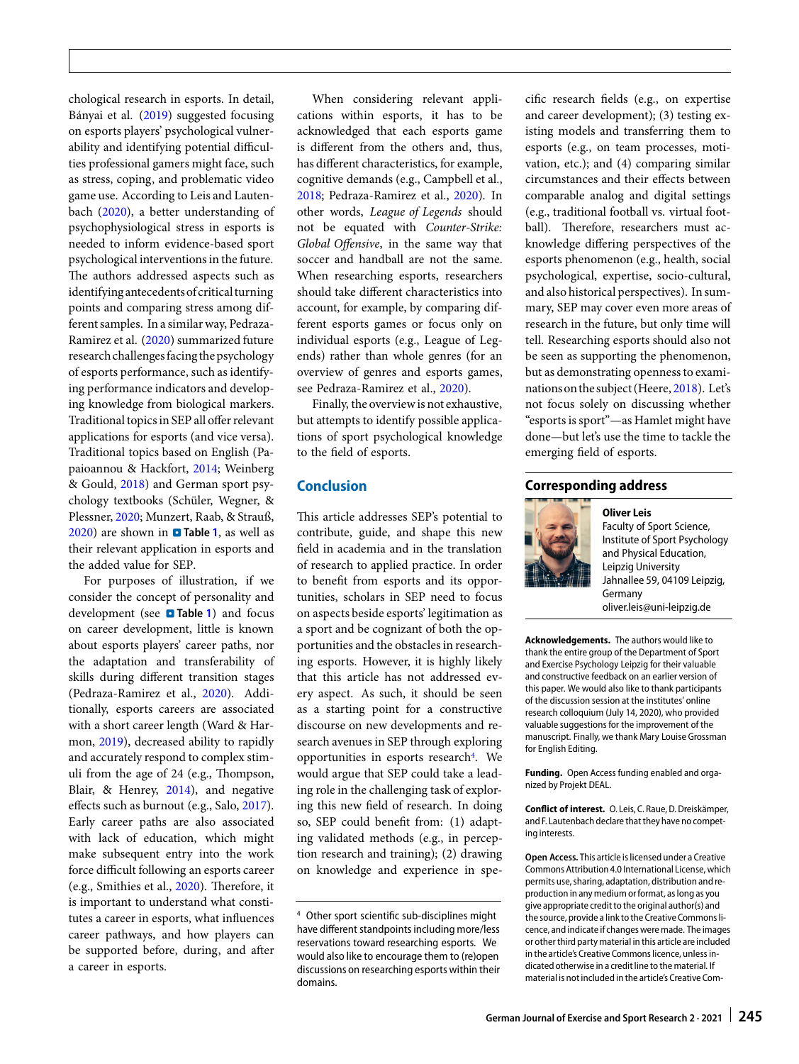chological research in esports. In detail, Bányai et al. [\(2019\)](#page-5-44) suggested focusing on esports players' psychological vulnerability and identifying potential difficulties professional gamers might face, such as stress, coping, and problematic video game use. According to Leis and Lautenbach [\(2020\)](#page-5-12), a better understanding of psychophysiological stress in esports is needed to inform evidence-based sport psychological interventions in the future. The authors addressed aspects such as identifying antecedents of critical turning points and comparing stress among different samples. In a similar way, Pedraza-Ramirez et al. [\(2020\)](#page-5-2) summarized future research challenges facing the psychology of esports performance, such as identifying performance indicators and developing knowledge from biological markers. Traditional topics in SEP all offer relevant applications for esports (and vice versa). Traditional topics based on English (Papaioannou & Hackfort, [2014;](#page-5-40) Weinberg & Gould, [2018\)](#page-6-11) and German sport psychology textbooks (Schüler, Wegner, & Plessner, [2020;](#page-5-41) Munzert, Raab, & Strauß, [2020\)](#page-5-42) are shown in **n** Table [1](#page-3-0), as well as their relevant application in esports and the added value for SEP.

For purposes of illustration, if we consider the concept of personality and development (see **0 Table [1](#page-3-0)**) and focus on career development, little is known about esports players' career paths, nor the adaptation and transferability of skills during different transition stages (Pedraza-Ramirez et al., [2020\)](#page-5-2). Additionally, esports careers are associated with a short career length (Ward & Harmon, [2019\)](#page-6-12), decreased ability to rapidly and accurately respond to complex stimuli from the age of 24 (e.g., Thompson, Blair, & Henrey, [2014\)](#page-6-13), and negative effects such as burnout (e.g., Salo, [2017\)](#page-5-45). Early career paths are also associated with lack of education, which might make subsequent entry into the work force difficult following an esports career (e.g., Smithies et al., [2020\)](#page-6-14). Therefore, it is important to understand what constitutes a career in esports, what influences career pathways, and how players can be supported before, during, and afer a career in esports.

When considering relevant applications within esports, it has to be acknowledged that each esports game is different from the others and, thus, has different characteristics, for example, cognitive demands (e.g., Campbell et al., [2018;](#page-5-10) Pedraza-Ramirez et al., [2020\)](#page-5-2). In other words, *League of Legends* should not be equated with *Counter-Strike: Global Offensive*, in the same way that soccer and handball are not the same. When researching esports, researchers should take different characteristics into account, for example, by comparing different esports games or focus only on individual esports (e.g., League of Legends) rather than whole genres (for an overview of genres and esports games, see Pedraza-Ramirez et al., [2020\)](#page-5-2).

Finally, the overview is not exhaustive, but attempts to identify possible applications of sport psychological knowledge to the field of esports.

## **Conclusion**

This article addresses SEP's potential to contribute, guide, and shape this new field in academia and in the translation of research to applied practice. In order to benefit from esports and its opportunities, scholars in SEP need to focus on aspects beside esports' legitimation as a sport and be cognizant of both the opportunities and the obstacles in researching esports. However, it is highly likely that this article has not addressed every aspect. As such, it should be seen as a starting point for a constructive discourse on new developments and research avenues in SEP through exploring opportunities in esports research<sup>4</sup>. We would argue that SEP could take a leading role in the challenging task of exploring this new field of research. In doing so, SEP could benefit from: (1) adapting validated methods (e.g., in perception research and training); (2) drawing on knowledge and experience in specific research fields (e.g., on expertise and career development); (3) testing existing models and transferring them to esports (e.g., on team processes, motivation, etc.); and (4) comparing similar circumstances and their effects between comparable analog and digital settings (e.g., traditional football vs. virtual football). Therefore, researchers must acknowledge differing perspectives of the esports phenomenon (e.g., health, social psychological, expertise, socio-cultural, and also historical perspectives). In summary, SEP may cover even more areas of research in the future, but only time will tell. Researching esports should also not be seen as supporting the phenomenon, but as demonstrating openness to examinations on the subject (Heere, [2018\)](#page-5-11). Let's not focus solely on discussing whether "esports is sport"—as Hamlet might have done—but let's use the time to tackle the emerging field of esports.

#### **Corresponding address**



**Oliver Leis** Faculty of Sport Science, Institute of Sport Psychology and Physical Education, Leipzig University Jahnallee 59, 04109 Leipzig, Germany oliver.leis@uni-leipzig.de

**Acknowledgements.** The authors would like to thank the entire group of the Department of Sport and Exercise Psychology Leipzig for their valuable and constructive feedback on an earlier version of this paper. We would also like to thank participants of the discussion session at the institutes' online research colloquium (July 14, 2020), who provided valuable suggestions for the improvement of the manuscript. Finally, we thank Mary Louise Grossman for English Editing.

**Funding.** Open Access funding enabled and organized by Projekt DEAL.

**Conflict of interest.** O. Leis, C. Raue, D. Dreiskämper, and F. Lautenbach declare that they have no competing interests.

**Open Access.** This article is licensed under a Creative Commons Attribution 4.0 International License, which permits use, sharing, adaptation, distribution and reproduction in any medium or format, as long as you give appropriate credit to the original author(s) and the source, provide a link to the Creative Commons licence, and indicate if changes were made. The images or other third party material in this article are included in the article's Creative Commons licence, unless indicated otherwise in a credit line to the material. If material is not included in the article's Creative Com-

<span id="page-4-0"></span><sup>4</sup> Other sport scientific sub-disciplines might have different standpoints including more/less reservations toward researching esports. We would also like to encourage them to (re)open discussions on researching esports within their domains.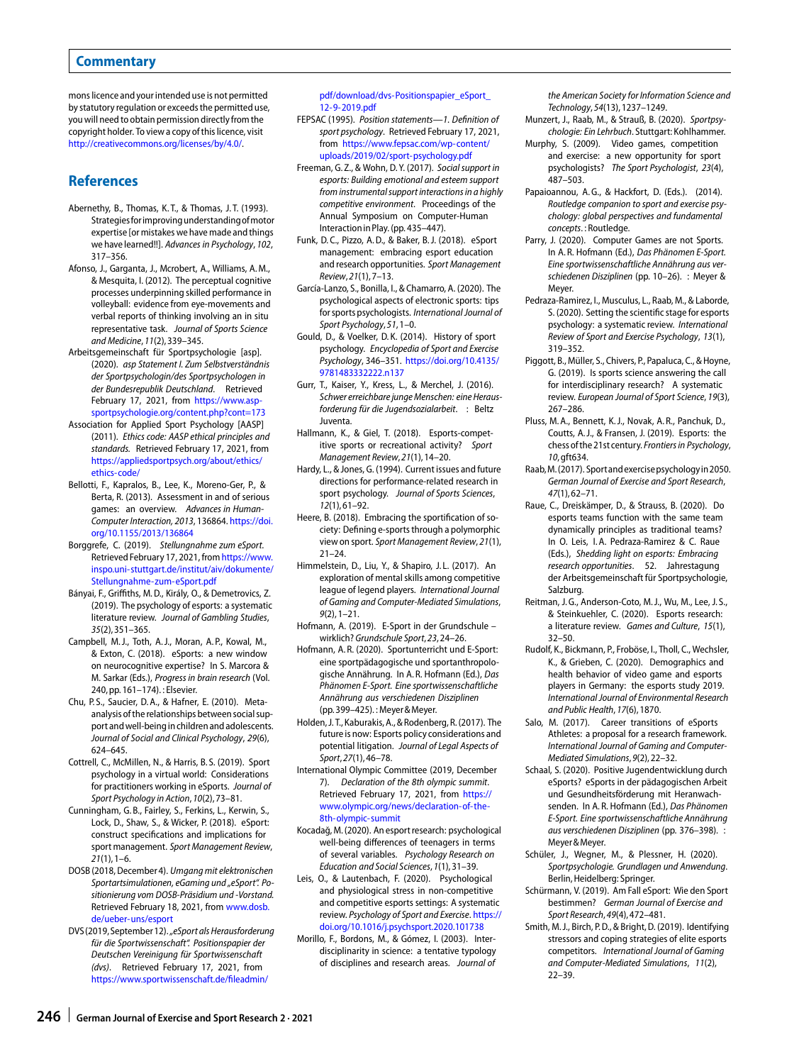mons licence and your intended use is not permitted by statutory regulation or exceeds the permitted use, you will need to obtain permission directly from the copyright holder. To view a copy of this licence, visit [http://creativecommons.org/licenses/by/4.0/.](http://creativecommons.org/licenses/by/4.0/)

#### **References**

- <span id="page-5-24"></span>Abernethy, B., Thomas, K. T., & Thomas, J. T. (1993). Strategiesforimprovingunderstandingofmotor expertise [or mistakes we have made and things we have learned!!]. Advances in Psychology, 102, 317–356.
- <span id="page-5-23"></span>Afonso, J., Garganta, J., Mcrobert, A., Williams, A. M., & Mesquita, I. (2012). The perceptual cognitive processes underpinning skilled performance in volleyball: evidence from eye-movements and verbal reports of thinking involving an in situ representative task. Journal of Sports Science and Medicine, 11(2),339–345.
- <span id="page-5-33"></span>Arbeitsgemeinschaft für Sportpsychologie [asp]. (2020). asp Statement I. Zum Selbstverständnis der Sportpsychologin/des Sportpsychologen in der Bundesrepublik Deutschland. Retrieved February 17, 2021, from [https://www.asp](https://www.asp-sportpsychologie.org/content.php?cont=173)[sportpsychologie.org/content.php?cont=173](https://www.asp-sportpsychologie.org/content.php?cont=173)
- <span id="page-5-34"></span>Association for Applied Sport Psychology [AASP] (2011). Ethics code: AASP ethical principles and standards. Retrieved February 17, 2021, from [https://appliedsportpsych.org/about/ethics/](https://appliedsportpsych.org/about/ethics/ethics-code/) [ethics-code/](https://appliedsportpsych.org/about/ethics/ethics-code/)
- <span id="page-5-14"></span>Bellotti, F., Kapralos, B., Lee, K., Moreno-Ger, P., & Berta, R. (2013). Assessment in and of serious games: an overview. Advances in Human-Computer Interaction, 2013, 136864. [https://doi.](https://doi.org/10.1155/2013/136864) [org/10.1155/2013/136864](https://doi.org/10.1155/2013/136864)
- <span id="page-5-36"></span>Borggrefe, C. (2019). Stellungnahme zum eSport. Retrieved February 17, 2021, from [https://www.](https://www.inspo.uni-stuttgart.de/institut/aiv/dokumente/Stellungnahme-zum-eSport.pdf) [inspo.uni-stuttgart.de/institut/aiv/dokumente/](https://www.inspo.uni-stuttgart.de/institut/aiv/dokumente/Stellungnahme-zum-eSport.pdf) [Stellungnahme-zum-eSport.pdf](https://www.inspo.uni-stuttgart.de/institut/aiv/dokumente/Stellungnahme-zum-eSport.pdf)
- <span id="page-5-44"></span>Bányai, F., Griffiths, M. D., Király, O., & Demetrovics, Z. (2019). The psychology of esports: a systematic literature review. Journal of Gambling Studies, 35(2),351–365.
- <span id="page-5-10"></span>Campbell, M. J., Toth, A. J., Moran, A. P., Kowal, M., & Exton, C. (2018). eSports: a new window on neurocognitive expertise? In S. Marcora & M. Sarkar (Eds.), Progress in brain research (Vol. 240, pp.161–174). : Elsevier.
- <span id="page-5-21"></span>Chu, P. S., Saucier, D. A., & Hafner, E. (2010). Metaanalysis of the relationships between social support and well-being in children and adolescents. Journal of Social and Clinical Psychology, 29(6), 624–645.
- <span id="page-5-30"></span>Cottrell, C., McMillen, N., & Harris, B. S. (2019). Sport psychology in a virtual world: Considerations for practitioners working in eSports. Journal of Sport Psychology in Action, 10(2),73–81.
- <span id="page-5-0"></span>Cunningham, G. B., Fairley, S., Ferkins, L., Kerwin, S., Lock, D., Shaw, S., & Wicker, P. (2018). eSport: construct specifications and implications for sport management. Sport Management Review,  $21(1)$ , 1–6.
- <span id="page-5-5"></span>DOSB(2018, December 4). Umgang mit elektronischen Sportartsimulationen, eGaming und "eSport". Positionierung vom DOSB-Präsidium und -Vorstand. Retrieved February 18, 2021, from [www.dosb.](http://www.dosb.de/ueber-uns/esport) [de/ueber-uns/esport](http://www.dosb.de/ueber-uns/esport)
- <span id="page-5-43"></span>DVS(2019, September 12). "eSport als Herausforderung für die Sportwissenschaft". Positionspapier der Deutschen Vereinigung für Sportwissenschaft (dvs). Retrieved February 17, 2021, from [https://www.sportwissenschaft.de/fileadmin/](https://www.sportwissenschaft.de/fileadmin/pdf/download/dvs-Positionspapier_eSport_12-9-2019.pdf)

[pdf/download/dvs-Positionspapier\\_eSport\\_](https://www.sportwissenschaft.de/fileadmin/pdf/download/dvs-Positionspapier_eSport_12-9-2019.pdf) [12-9-2019.pdf](https://www.sportwissenschaft.de/fileadmin/pdf/download/dvs-Positionspapier_eSport_12-9-2019.pdf)

- <span id="page-5-20"></span>FEPSAC (1995). Position statements—1. Defnition of sport psychology. Retrieved February 17, 2021, from [https://www.fepsac.com/wp-content/](https://www.fepsac.com/wp-content/uploads/2019/02/sport-psychology.pdf) [uploads/2019/02/sport-psychology.pdf](https://www.fepsac.com/wp-content/uploads/2019/02/sport-psychology.pdf)
- <span id="page-5-22"></span>Freeman, G. Z., & Wohn, D. Y. (2017). Social support in esports: Building emotional and esteem support from instrumental support interactions in a highly competitive environment. Proceedings of the Annual Symposium on Computer-Human Interaction inPlay. (pp. 435–447).
- <span id="page-5-9"></span>Funk, D. C., Pizzo, A. D., & Baker, B. J. (2018). eSport management: embracing esport education and research opportunities. Sport Management Review, 21(1),7–13.
- <span id="page-5-32"></span>García-Lanzo, S., Bonilla, I., & Chamarro, A. (2020). The psychological aspects of electronic sports: tips for sports psychologists. International Journal of Sport Psychology, 51,1–0.
- <span id="page-5-16"></span>Gould, D., & Voelker, D. K. (2014). History of sport psychology. Encyclopedia of Sport and Exercise Psychology, 346–351. [https://doi.org/10.4135/](https://doi.org/10.4135/9781483332222.n137) [9781483332222.n137](https://doi.org/10.4135/9781483332222.n137)
- <span id="page-5-37"></span>Gurr, T., Kaiser, Y., Kress, L., & Merchel, J. (2016). Schwer erreichbare junge Menschen: eine Herausforderung für die Jugendsozialarbeit. : Beltz Juventa.
- <span id="page-5-27"></span>Hallmann, K., & Giel, T. (2018). Esports-competitive sports or recreational activity? Sport Management Review, 21(1),14–20.
- <span id="page-5-17"></span>Hardy, L., & Jones, G. (1994). Current issues and future directions for performance-related research in sport psychology. Journal of Sports Sciences, 12(1),61–92.
- <span id="page-5-11"></span>Heere, B. (2018). Embracing the sportification of society: Defining e-sports through a polymorphic view on sport. Sport Management Review, 21(1), 21–24.
- <span id="page-5-29"></span>Himmelstein, D., Liu, Y., & Shapiro, J. L. (2017). An exploration of mental skills among competitive league of legend players. International Journal of Gaming and Computer-Mediated Simulations, 9(2),1–21.
- <span id="page-5-35"></span>Hofmann, A. (2019). E-Sport in der Grundschule – wirklich? Grundschule Sport, 23,24–26.
- <span id="page-5-38"></span>Hofmann, A. R. (2020). Sportunterricht und E-Sport: eine sportpädagogische und sportanthropologische Annährung. In A. R. Hofmann (Ed.), Das Phänomen E-Sport. Eine sportwissenschaftliche Annährung aus verschiedenen Disziplinen (pp.399–425). : Meyer&Meyer.
- <span id="page-5-4"></span>Holden, J. T., Kaburakis, A., & Rodenberg, R.(2017). The future is now: Esports policy considerations and potential litigation. Journal of Legal Aspects of Sport, 27(1),46–78.
- <span id="page-5-3"></span>International Olympic Committee (2019, December 7). Declaration of the 8th olympic summit. Retrieved February 17, 2021, from [https://](https://www.olympic.org/news/declaration-of-the-8th-olympic-summit) [www.olympic.org/news/declaration-of-the-](https://www.olympic.org/news/declaration-of-the-8th-olympic-summit)[8th-olympic-summit](https://www.olympic.org/news/declaration-of-the-8th-olympic-summit)
- <span id="page-5-19"></span>Kocadağ, M.(2020). An esport research: psychological well-being differences of teenagers in terms of several variables. Psychology Research on Education and Social Sciences, 1(1),31–39.
- <span id="page-5-12"></span>Leis, O., & Lautenbach, F. (2020). Psychological and physiological stress in non-competitive and competitive esports settings: A systematic review. Psychology of Sport and Exercise. [https://](https://doi.org/10.1016/j.psychsport.2020.101738) [doi.org/10.1016/j.psychsport.2020.101738](https://doi.org/10.1016/j.psychsport.2020.101738)
- <span id="page-5-25"></span>Morillo, F., Bordons, M., & Gómez, I. (2003). Interdisciplinarity in science: a tentative typology of disciplines and research areas. Journal of

the American Society for Information Science and Technology, 54(13),1237–1249.

- <span id="page-5-42"></span><span id="page-5-15"></span>Munzert, J., Raab, M., & Strauß, B. (2020). Sportpsychologie: Ein Lehrbuch. Stuttgart: Kohlhammer.
- Murphy, S. (2009). Video games, competition and exercise: a new opportunity for sport psychologists? The Sport Psychologist, 23(4), 487–503.
- <span id="page-5-40"></span>Papaioannou, A.G., & Hackfort, D. (Eds.). (2014). Routledge companion to sport and exercise psychology: global perspectives and fundamental concepts. : Routledge.
- <span id="page-5-6"></span>Parry, J. (2020). Computer Games are not Sports. In A. R. Hofmann (Ed.), Das Phänomen E-Sport. Eine sportwissenschaftliche Annährung aus verschiedenen Disziplinen (pp. 10–26). : Meyer & Meyer.
- <span id="page-5-2"></span>Pedraza-Ramirez, I., Musculus, L., Raab, M., & Laborde, S. (2020). Setting the scientific stage for esports psychology: a systematic review. International Review of Sport and Exercise Psychology, 13(1), 319–352.
- <span id="page-5-26"></span>Piggott, B., Müller, S., Chivers, P., Papaluca, C., & Hoyne, G. (2019). Is sports science answering the call for interdisciplinary research? A systematic review. European Journal of Sport Science, 19(3), 267–286.
- <span id="page-5-1"></span>Pluss, M. A., Bennett, K. J., Novak, A. R., Panchuk, D., Coutts, A. J., & Fransen, J. (2019). Esports: the chessof the21st century. Frontiers in Psychology, 10, gft634.
- <span id="page-5-13"></span>Raab,M.(2017). Sportandexercisepsychologyin2050. German Journal of Exercise and Sport Research, 47(1),62–71.
- <span id="page-5-7"></span>Raue, C., Dreiskämper, D., & Strauss, B. (2020). Do esports teams function with the same team dynamically principles as traditional teams? In O. Leis, I. A. Pedraza-Ramirez & C. Raue (Eds.), Shedding light on esports: Embracing research opportunities. 52. Jahrestagung der Arbeitsgemeinschaft für Sportpsychologie, Salzburg.
- <span id="page-5-28"></span>Reitman, J. G., Anderson-Coto, M. J., Wu, M., Lee, J. S., & Steinkuehler, C. (2020). Esports research: a literature review. Games and Culture, 15(1), 32–50.
- <span id="page-5-18"></span>Rudolf, K., Bickmann, P., Froböse, I., Tholl, C., Wechsler, K., & Grieben, C. (2020). Demographics and health behavior of video game and esports players in Germany: the esports study 2019. International Journal of Environmental Research and Public Health, 17(6), 1870.
- <span id="page-5-45"></span>Salo, M. (2017). Career transitions of eSports Athletes: a proposal for a research framework. International Journal of Gaming and Computer-Mediated Simulations, 9(2),22–32.
- <span id="page-5-39"></span>Schaal, S. (2020). Positive Jugendentwicklung durch eSports? eSports in der pädagogischen Arbeit und Gesundheitsförderung mit Heranwachsenden. In A. R. Hofmann (Ed.), Das Phänomen E-Sport. Eine sportwissenschaftliche Annährung aus verschiedenen Disziplinen (pp. 376–398). : Meyer&Meyer.
- <span id="page-5-41"></span>Schüler, J., Wegner, M., & Plessner, H. (2020). Sportpsychologie. Grundlagen und Anwendung. Berlin, Heidelberg: Springer.
- <span id="page-5-8"></span>Schürmann, V. (2019). Am Fall eSport: Wie den Sport bestimmen? German Journal of Exercise and Sport Research, 49(4),472–481.
- <span id="page-5-31"></span>Smith, M. J., Birch, P. D., & Bright, D. (2019). Identifying stressors and coping strategies of elite esports competitors. International Journal of Gaming and Computer-Mediated Simulations, 11(2), 22–39.